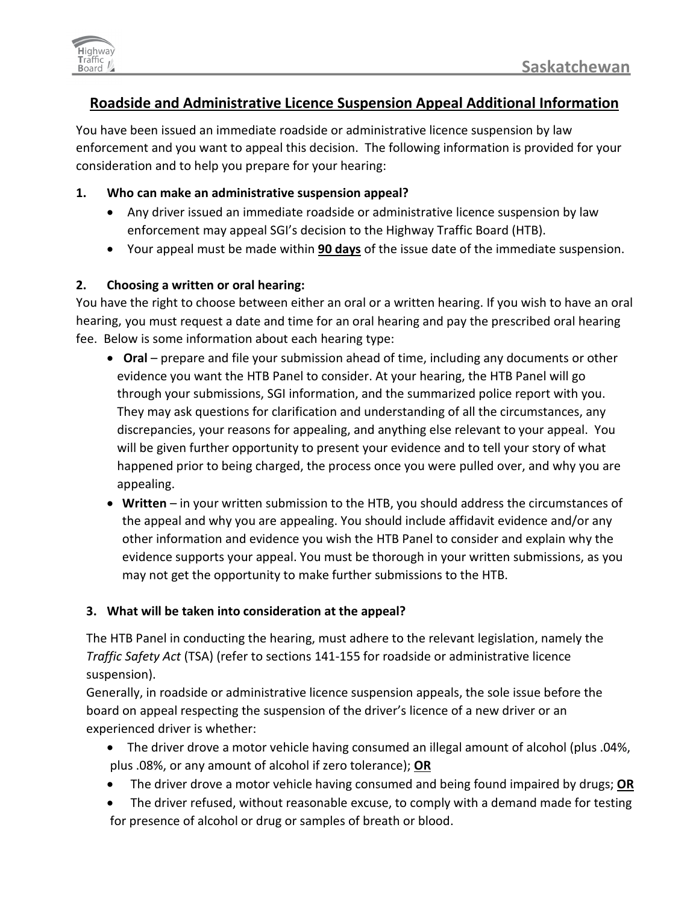

# **Roadside and Administrative Licence Suspension Appeal Additional Information**

You have been issued an immediate roadside or administrative licence suspension by law enforcement and you want to appeal this decision. The following information is provided for your consideration and to help you prepare for your hearing:

#### **1. Who can make an administrative suspension appeal?**

- Any driver issued an immediate roadside or administrative licence suspension by law enforcement may appeal SGI's decision to the Highway Traffic Board (HTB).
- Your appeal must be made within **90 days** of the issue date of the immediate suspension.

### **2. Choosing a written or oral hearing:**

You have the right to choose between either an oral or a written hearing. If you wish to have an oral hearing, you must request a date and time for an oral hearing and pay the prescribed oral hearing fee. Below is some information about each hearing type:

- • **Oral** prepare and file your submission ahead of time, including any documents or other evidence you want the HTB Panel to consider. At your hearing, the HTB Panel will go through your submissions, SGI information, and the summarized police report with you. They may ask questions for clarification and understanding of all the circumstances, any discrepancies, your reasons for appealing, and anything else relevant to your appeal. You will be given further opportunity to present your evidence and to tell your story of what happened prior to being charged, the process once you were pulled over, and why you are appealing.
- **Written**  in your written submission to the HTB, you should address the circumstances of the appeal and why you are appealing. You should include affidavit evidence and/or any other information and evidence you wish the HTB Panel to consider and explain why the evidence supports your appeal. You must be thorough in your written submissions, as you may not get the opportunity to make further submissions to the HTB.

## **3. What will be taken into consideration at the appeal?**

The HTB Panel in conducting the hearing, must adhere to the relevant legislation, namely the *Traffic Safety Act* (TSA) (refer to sections 141-155 for roadside or administrative licence suspension).

Generally, in roadside or administrative licence suspension appeals, the sole issue before the board on appeal respecting the suspension of the driver's licence of a new driver or an experienced driver is whether:

- The driver drove a motor vehicle having consumed an illegal amount of alcohol (plus .04%, plus .08%, or any amount of alcohol if zero tolerance); **OR**
- The driver drove a motor vehicle having consumed and being found impaired by drugs; **OR**
- The driver refused, without reasonable excuse, to comply with a demand made for testing for presence of alcohol or drug or samples of breath or blood.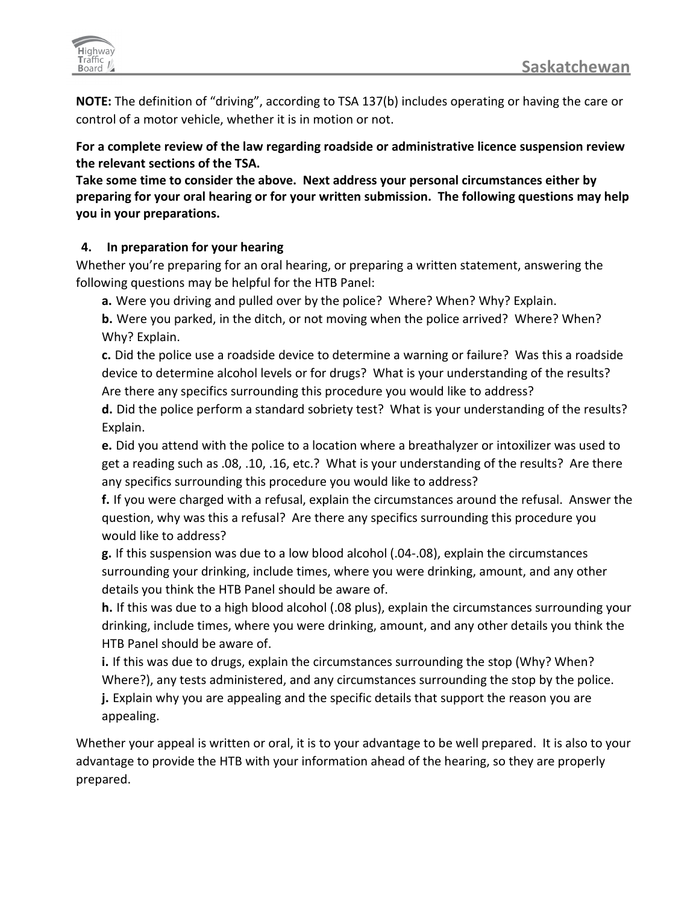

**NOTE:** The definition of "driving", according to TSA 137(b) includes operating or having the care or control of a motor vehicle, whether it is in motion or not.

**For a complete review of the law regarding roadside or administrative licence suspension review the relevant sections of the TSA.**

**Take some time to consider the above. Next address your personal circumstances either by preparing for your oral hearing or for your written submission. The following questions may help you in your preparations.**

### **4. In preparation for your hearing**

Whether you're preparing for an oral hearing, or preparing a written statement, answering the following questions may be helpful for the HTB Panel:

**a.** Were you driving and pulled over by the police? Where? When? Why? Explain.

**b.** Were you parked, in the ditch, or not moving when the police arrived? Where? When? Why? Explain.

**c.** Did the police use a roadside device to determine a warning or failure? Was this a roadside device to determine alcohol levels or for drugs? What is your understanding of the results? Are there any specifics surrounding this procedure you would like to address?

**d.** Did the police perform a standard sobriety test? What is your understanding of the results? Explain.

**e.** Did you attend with the police to a location where a breathalyzer or intoxilizer was used to get a reading such as .08, .10, .16, etc.? What is your understanding of the results? Are there any specifics surrounding this procedure you would like to address?

**f.** If you were charged with a refusal, explain the circumstances around the refusal. Answer the question, why was this a refusal? Are there any specifics surrounding this procedure you would like to address?

**g.** If this suspension was due to a low blood alcohol (.04-.08), explain the circumstances surrounding your drinking, include times, where you were drinking, amount, and any other details you think the HTB Panel should be aware of.

**h.** If this was due to a high blood alcohol (.08 plus), explain the circumstances surrounding your drinking, include times, where you were drinking, amount, and any other details you think the HTB Panel should be aware of.

**i.** If this was due to drugs, explain the circumstances surrounding the stop (Why? When? Where?), any tests administered, and any circumstances surrounding the stop by the police.

**j.** Explain why you are appealing and the specific details that support the reason you are appealing.

Whether your appeal is written or oral, it is to your advantage to be well prepared. It is also to your advantage to provide the HTB with your information ahead of the hearing, so they are properly prepared.